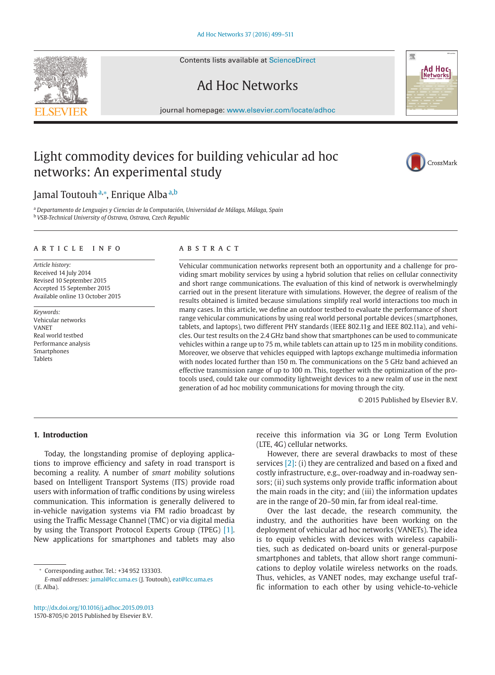Contents lists available at [ScienceDirect](http://www.ScienceDirect.com)

## Ad Hoc Networks

journal homepage: [www.elsevier.com/locate/adhoc](http://www.elsevier.com/locate/adhoc)

### Light commodity devices for building vehicular ad hoc networks: An experimental study

### Jamal Toutouh™, Enrique Alba ª<sup>,b</sup>

<sup>a</sup> *Departamento de Lenguajes y Ciencias de la Computación, Universidad de Málaga, Málaga, Spain* <sup>b</sup> *VSB-Technical University of Ostrava, Ostrava, Czech Republic*

#### article info

*Article history:* Received 14 July 2014 Revised 10 September 2015 Accepted 15 September 2015 Available online 13 October 2015

*Keywords:* Vehicular networks VANET Real world testbed Performance analysis Smartphones Tablets

#### **ABSTRACT**

Vehicular communication networks represent both an opportunity and a challenge for providing smart mobility services by using a hybrid solution that relies on cellular connectivity and short range communications. The evaluation of this kind of network is overwhelmingly carried out in the present literature with simulations. However, the degree of realism of the results obtained is limited because simulations simplify real world interactions too much in many cases. In this article, we define an outdoor testbed to evaluate the performance of short range vehicular communications by using real world personal portable devices (smartphones, tablets, and laptops), two different PHY standards (IEEE 802.11g and IEEE 802.11a), and vehicles. Our test results on the 2.4 GHz band show that smartphones can be used to communicate vehicles within a range up to 75 m, while tablets can attain up to 125 m in mobility conditions. Moreover, we observe that vehicles equipped with laptops exchange multimedia information with nodes located further than 150 m. The communications on the 5 GHz band achieved an effective transmission range of up to 100 m. This, together with the optimization of the protocols used, could take our commodity lightweight devices to a new realm of use in the next generation of ad hoc mobility communications for moving through the city.

© 2015 Published by Elsevier B.V.

#### **1. Introduction**

Today, the longstanding promise of deploying applications to improve efficiency and safety in road transport is becoming a reality. A number of *smart mobility* solutions based on Intelligent Transport Systems (ITS) provide road users with information of traffic conditions by using wireless communication. This information is generally delivered to in-vehicle navigation systems via FM radio broadcast by using the Traffic Message Channel (TMC) or via digital media by using the Transport Protocol Experts Group (TPEG) [\[1\].](#page--1-0) New applications for smartphones and tablets may also

receive this information via 3G or Long Term Evolution (LTE, 4G) cellular networks.

However, there are several drawbacks to most of these services [\[2\]:](#page--1-0) (i) they are centralized and based on a fixed and costly infrastructure, e.g., over-roadway and in-roadway sensors; (ii) such systems only provide traffic information about the main roads in the city; and (iii) the information updates are in the range of 20–50 min, far from ideal real-time.

Over the last decade, the research community, the industry, and the authorities have been working on the deployment of vehicular ad hoc networks (VANETs). The idea is to equip vehicles with devices with wireless capabilities, such as dedicated on-board units or general-purpose smartphones and tablets, that allow short range communications to deploy volatile wireless networks on the roads. Thus, vehicles, as VANET nodes, may exchange useful traffic information to each other by using vehicle-to-vehicle





CrossMark

<sup>∗</sup> Corresponding author. Tel.: +34 952 133303.

*E-mail addresses:* [jamal@lcc.uma.es](mailto:jamal@lcc.uma.es) (J. Toutouh), eat@lcc.uma.es (E. Alba).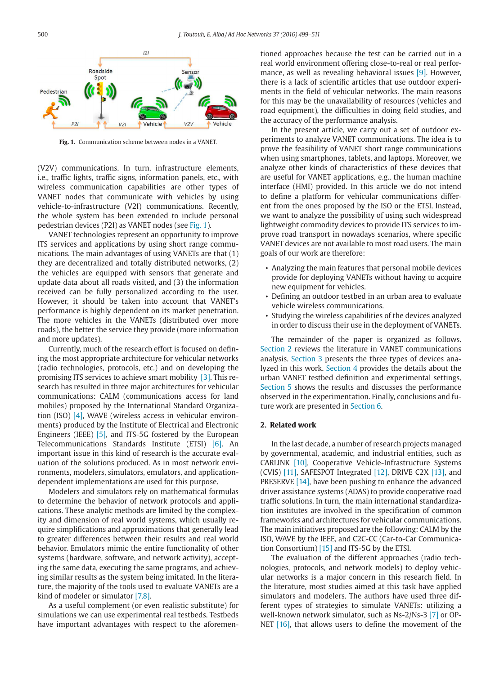

**Fig. 1.** Communication scheme between nodes in a VANET.

(V2V) communications. In turn, infrastructure elements, i.e., traffic lights, traffic signs, information panels, etc., with wireless communication capabilities are other types of VANET nodes that communicate with vehicles by using vehicle-to-infrastructure (V2I) communications. Recently, the whole system has been extended to include personal pedestrian devices (P2I) as VANET nodes (see Fig. 1).

VANET technologies represent an opportunity to improve ITS services and applications by using short range communications. The main advantages of using VANETs are that (1) they are decentralized and totally distributed networks, (2) the vehicles are equipped with sensors that generate and update data about all roads visited, and (3) the information received can be fully personalized according to the user. However, it should be taken into account that VANET's performance is highly dependent on its market penetration. The more vehicles in the VANETs (distributed over more roads), the better the service they provide (more information and more updates).

Currently, much of the research effort is focused on defining the most appropriate architecture for vehicular networks (radio technologies, protocols, etc.) and on developing the promising ITS services to achieve smart mobility [\[3\].](#page--1-0) This research has resulted in three major architectures for vehicular communications: CALM (communications access for land mobiles) proposed by the International Standard Organization (ISO) [\[4\],](#page--1-0) WAVE (wireless access in vehicular environments) produced by the Institute of Electrical and Electronic Engineers (IEEE) [\[5\],](#page--1-0) and ITS-5G fostered by the European Telecommunications Standards Institute (ETSI) [\[6\].](#page--1-0) An important issue in this kind of research is the accurate evaluation of the solutions produced. As in most network environments, modelers, simulators, emulators, and applicationdependent implementations are used for this purpose.

Modelers and simulators rely on mathematical formulas to determine the behavior of network protocols and applications. These analytic methods are limited by the complexity and dimension of real world systems, which usually require simplifications and approximations that generally lead to greater differences between their results and real world behavior. Emulators mimic the entire functionality of other systems (hardware, software, and network activity), accepting the same data, executing the same programs, and achieving similar results as the system being imitated. In the literature, the majority of the tools used to evaluate VANETs are a kind of modeler or simulator [\[7,8\].](#page--1-0)

As a useful complement (or even realistic substitute) for simulations we can use experimental real testbeds. Testbeds have important advantages with respect to the aforementioned approaches because the test can be carried out in a real world environment offering close-to-real or real performance, as well as revealing behavioral issues [\[9\].](#page--1-0) However, there is a lack of scientific articles that use outdoor experiments in the field of vehicular networks. The main reasons for this may be the unavailability of resources (vehicles and road equipment), the difficulties in doing field studies, and the accuracy of the performance analysis.

In the present article, we carry out a set of outdoor experiments to analyze VANET communications. The idea is to prove the feasibility of VANET short range communications when using smartphones, tablets, and laptops. Moreover, we analyze other kinds of characteristics of these devices that are useful for VANET applications, e.g., the human machine interface (HMI) provided. In this article we do not intend to define a platform for vehicular communications different from the ones proposed by the ISO or the ETSI. Instead, we want to analyze the possibility of using such widespread lightweight commodity devices to provide ITS services to improve road transport in nowadays scenarios, where specific VANET devices are not available to most road users. The main goals of our work are therefore:

- Analyzing the main features that personal mobile devices provide for deploying VANETs without having to acquire new equipment for vehicles.
- Defining an outdoor testbed in an urban area to evaluate vehicle wireless communications.
- Studying the wireless capabilities of the devices analyzed in order to discuss their use in the deployment of VANETs.

The remainder of the paper is organized as follows. Section 2 reviews the literature in VANET communications analysis. [Section 3](#page--1-0) presents the three types of devices analyzed in this work. [Section 4](#page--1-0) provides the details about the urban VANET testbed definition and experimental settings. [Section 5](#page--1-0) shows the results and discusses the performance observed in the experimentation. Finally, conclusions and future work are presented in [Section 6.](#page--1-0)

#### **2. Related work**

In the last decade, a number of research projects managed by governmental, academic, and industrial entities, such as CARLINK [\[10\],](#page--1-0) Cooperative Vehicle-Infrastructure Systems (CVIS)  $[11]$ , SAFESPOT Integrated  $[12]$ , DRIVE C2X  $[13]$ , and PRESERVE [\[14\],](#page--1-0) have been pushing to enhance the advanced driver assistance systems (ADAS) to provide cooperative road traffic solutions. In turn, the main international standardization institutes are involved in the specification of common frameworks and architectures for vehicular communications. The main initiatives proposed are the following: CALM by the ISO, WAVE by the IEEE, and C2C-CC (Car-to-Car Communication Consortium) [\[15\]](#page--1-0) and ITS-5G by the ETSI.

The evaluation of the different approaches (radio technologies, protocols, and network models) to deploy vehicular networks is a major concern in this research field. In the literature, most studies aimed at this task have applied simulators and modelers. The authors have used three different types of strategies to simulate VANETs: utilizing a well-known network simulator, such as Ns-2/Ns-3 [\[7\]](#page--1-0) or OP-NET  $[16]$ , that allows users to define the movement of the